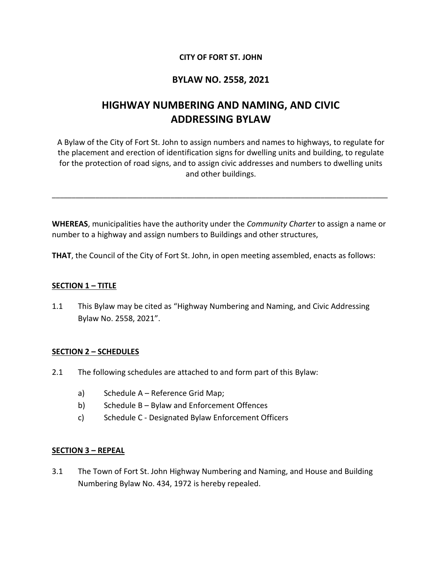## **CITY OF FORT ST. JOHN**

## **BYLAW NO. 2558, 2021**

# **HIGHWAY NUMBERING AND NAMING, AND CIVIC ADDRESSING BYLAW**

A Bylaw of the City of Fort St. John to assign numbers and names to highways, to regulate for the placement and erection of identification signs for dwelling units and building, to regulate for the protection of road signs, and to assign civic addresses and numbers to dwelling units and other buildings.

**WHEREAS**, municipalities have the authority under the *Community Charter* to assign a name or number to a highway and assign numbers to Buildings and other structures,

\_\_\_\_\_\_\_\_\_\_\_\_\_\_\_\_\_\_\_\_\_\_\_\_\_\_\_\_\_\_\_\_\_\_\_\_\_\_\_\_\_\_\_\_\_\_\_\_\_\_\_\_\_\_\_\_\_\_\_\_\_\_\_\_\_\_\_\_\_\_\_\_\_\_\_\_\_\_\_\_\_\_\_\_\_

**THAT**, the Council of the City of Fort St. John, in open meeting assembled, enacts as follows:

#### **SECTION 1 – TITLE**

1.1 This Bylaw may be cited as "Highway Numbering and Naming, and Civic Addressing Bylaw No. 2558, 2021".

#### **SECTION 2 – SCHEDULES**

- 2.1 The following schedules are attached to and form part of this Bylaw:
	- a) Schedule A Reference Grid Map;
	- b) Schedule B Bylaw and Enforcement Offences
	- c) Schedule C Designated Bylaw Enforcement Officers

#### **SECTION 3 – REPEAL**

3.1 The Town of Fort St. John Highway Numbering and Naming, and House and Building Numbering Bylaw No. 434, 1972 is hereby repealed.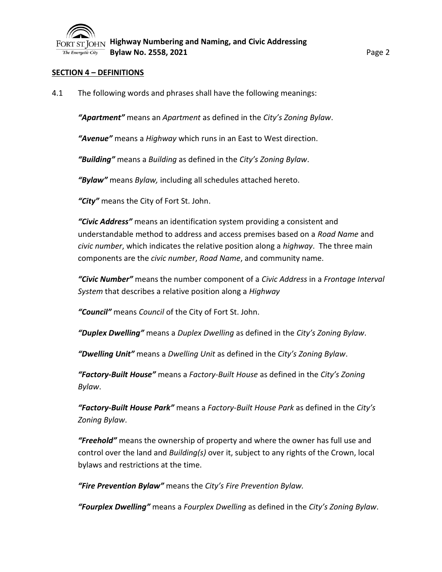

#### **SECTION 4 – DEFINITIONS**

4.1 The following words and phrases shall have the following meanings:

*"Apartment"* means an *Apartment* as defined in the *City's Zoning Bylaw*.

*"Avenue"* means a *Highway* which runs in an East to West direction.

*"Building"* means a *Building* as defined in the *City's Zoning Bylaw*.

*"Bylaw"* means *Bylaw,* including all schedules attached hereto.

*"City"* means the City of Fort St. John.

*"Civic Address"* means an identification system providing a consistent and understandable method to address and access premises based on a *Road Name* and *civic number*, which indicates the relative position along a *highway*. The three main components are the *civic number*, *Road Name*, and community name.

*"Civic Number"* means the number component of a *Civic Address* in a *Frontage Interval System* that describes a relative position along a *Highway*

*"Council"* means *Council* of the City of Fort St. John.

*"Duplex Dwelling"* means a *Duplex Dwelling* as defined in the *City's Zoning Bylaw*.

*"Dwelling Unit"* means a *Dwelling Unit* as defined in the *City's Zoning Bylaw*.

*"Factory-Built House"* means a *Factory-Built House* as defined in the *City's Zoning Bylaw*.

*"Factory-Built House Park"* means a *Factory-Built House Park* as defined in the *City's Zoning Bylaw*.

*"Freehold"* means the ownership of property and where the owner has full use and control over the land and *Building(s)* over it, subject to any rights of the Crown, local bylaws and restrictions at the time.

*"Fire Prevention Bylaw"* means the *City's Fire Prevention Bylaw.*

*"Fourplex Dwelling"* means a *Fourplex Dwelling* as defined in the *City's Zoning Bylaw*.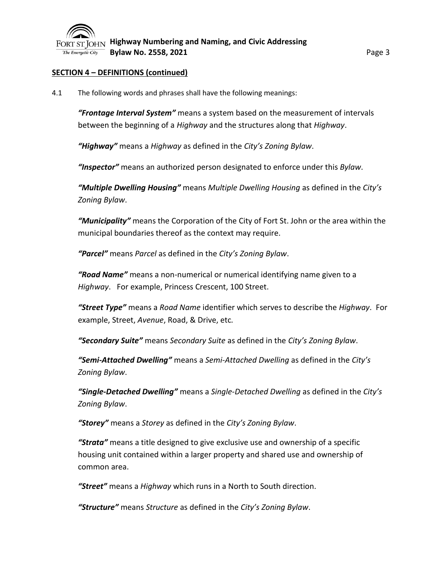

## **SECTION 4 – DEFINITIONS (continued)**

4.1 The following words and phrases shall have the following meanings:

*"Frontage Interval System"* means a system based on the measurement of intervals between the beginning of a *Highway* and the structures along that *Highway*.

*"Highway"* means a *Highway* as defined in the *City's Zoning Bylaw*.

*"Inspector"* means an authorized person designated to enforce under this *Bylaw*.

*"Multiple Dwelling Housing"* means *Multiple Dwelling Housing* as defined in the *City's Zoning Bylaw*.

*"Municipality"* means the Corporation of the City of Fort St. John or the area within the municipal boundaries thereof as the context may require.

*"Parcel"* means *Parcel* as defined in the *City's Zoning Bylaw*.

*"Road Name"* means a non-numerical or numerical identifying name given to a *Highway*. For example, Princess Crescent, 100 Street.

*"Street Type"* means a *Road Name* identifier which serves to describe the *Highway*. For example, Street, *Avenue*, Road, & Drive, etc*.*

*"Secondary Suite"* means *Secondary Suite* as defined in the *City's Zoning Bylaw*.

*"Semi-Attached Dwelling"* means a *Semi-Attached Dwelling* as defined in the *City's Zoning Bylaw*.

*"Single-Detached Dwelling"* means a *Single-Detached Dwelling* as defined in the *City's Zoning Bylaw*.

*"Storey"* means a *Storey* as defined in the *City's Zoning Bylaw*.

*"Strata"* means a title designed to give exclusive use and ownership of a specific housing unit contained within a larger property and shared use and ownership of common area.

*"Street"* means a *Highway* which runs in a North to South direction.

*"Structure"* means *Structure* as defined in the *City's Zoning Bylaw*.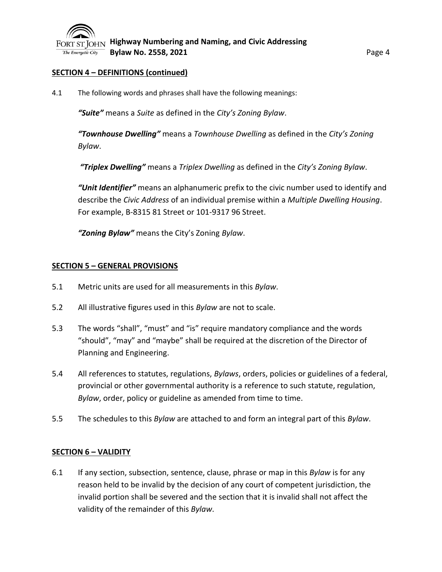

## **SECTION 4 – DEFINITIONS (continued)**

4.1 The following words and phrases shall have the following meanings:

*"Suite"* means a *Suite* as defined in the *City's Zoning Bylaw*.

*"Townhouse Dwelling"* means a *Townhouse Dwelling* as defined in the *City's Zoning Bylaw*.

*"Triplex Dwelling"* means a *Triplex Dwelling* as defined in the *City's Zoning Bylaw*.

*"Unit Identifier"* means an alphanumeric prefix to the civic number used to identify and describe the *Civic Address* of an individual premise within a *Multiple Dwelling Housing*. For example, B-8315 81 Street or 101-9317 96 Street.

*"Zoning Bylaw"* means the City's Zoning *Bylaw*.

## **SECTION 5 – GENERAL PROVISIONS**

- 5.1 Metric units are used for all measurements in this *Bylaw*.
- 5.2 All illustrative figures used in this *Bylaw* are not to scale.
- 5.3 The words "shall", "must" and "is" require mandatory compliance and the words "should", "may" and "maybe" shall be required at the discretion of the Director of Planning and Engineering.
- 5.4 All references to statutes, regulations, *Bylaws*, orders, policies or guidelines of a federal, provincial or other governmental authority is a reference to such statute, regulation, *Bylaw*, order, policy or guideline as amended from time to time.
- 5.5 The schedules to this *Bylaw* are attached to and form an integral part of this *Bylaw*.

#### **SECTION 6 – VALIDITY**

6.1 If any section, subsection, sentence, clause, phrase or map in this *Bylaw* is for any reason held to be invalid by the decision of any court of competent jurisdiction, the invalid portion shall be severed and the section that it is invalid shall not affect the validity of the remainder of this *Bylaw*.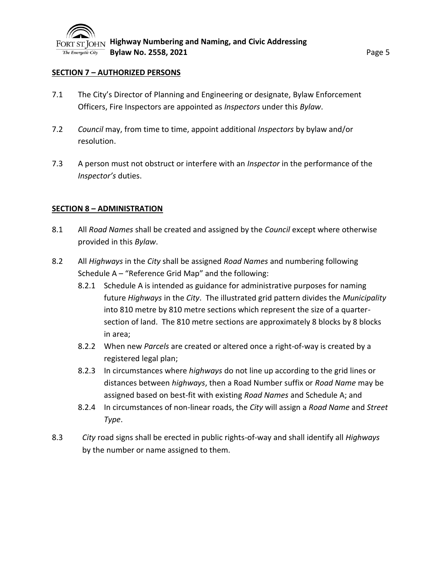#### **SECTION 7 – AUTHORIZED PERSONS**

- 7.1 The City's Director of Planning and Engineering or designate, Bylaw Enforcement Officers, Fire Inspectors are appointed as *Inspectors* under this *Bylaw*.
- 7.2 *Council* may, from time to time, appoint additional *Inspectors* by bylaw and/or resolution.
- 7.3 A person must not obstruct or interfere with an *Inspector* in the performance of the *Inspector's* duties.

#### **SECTION 8 – ADMINISTRATION**

- 8.1 All *Road Names* shall be created and assigned by the *Council* except where otherwise provided in this *Bylaw*.
- 8.2 All *Highways* in the *City* shall be assigned *Road Names* and numbering following Schedule A – "Reference Grid Map" and the following:
	- 8.2.1 Schedule A is intended as guidance for administrative purposes for naming future *Highways* in the *City*. The illustrated grid pattern divides the *Municipality*  into 810 metre by 810 metre sections which represent the size of a quartersection of land. The 810 metre sections are approximately 8 blocks by 8 blocks in area;
	- 8.2.2 When new *Parcels* are created or altered once a right-of-way is created by a registered legal plan;
	- 8.2.3 In circumstances where *highways* do not line up according to the grid lines or distances between *highways*, then a Road Number suffix or *Road Name* may be assigned based on best-fit with existing *Road Names* and Schedule A; and
	- 8.2.4 In circumstances of non-linear roads, the *City* will assign a *Road Name* and *Street Type*.
- 8.3 *City* road signs shall be erected in public rights-of-way and shall identify all *Highways* by the number or name assigned to them.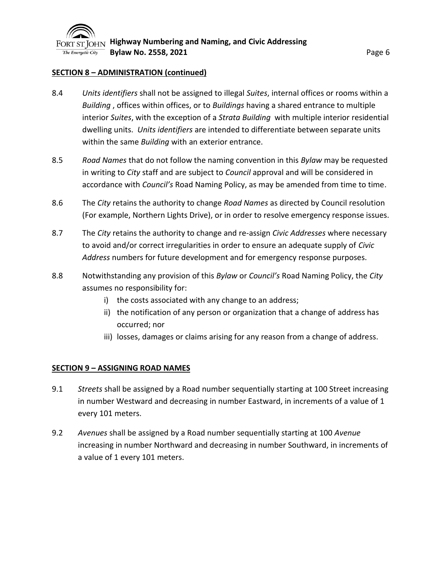

#### **SECTION 8 – ADMINISTRATION (continued)**

- 8.4 *Units identifiers* shall not be assigned to illegal *Suites*, internal offices or rooms within a *Building* , offices within offices, or to *Buildings* having a shared entrance to multiple interior *Suites*, with the exception of a *Strata Building* with multiple interior residential dwelling units. *Units identifiers* are intended to differentiate between separate units within the same *Building* with an exterior entrance.
- 8.5 *Road Names* that do not follow the naming convention in this *Bylaw* may be requested in writing to *City* staff and are subject to *Council* approval and will be considered in accordance with *Council's* Road Naming Policy, as may be amended from time to time.
- 8.6 The *City* retains the authority to change *Road Names* as directed by Council resolution (For example, Northern Lights Drive), or in order to resolve emergency response issues.
- 8.7 The *City* retains the authority to change and re-assign *Civic Addresses* where necessary to avoid and/or correct irregularities in order to ensure an adequate supply of *Civic Address* numbers for future development and for emergency response purposes.
- 8.8 Notwithstanding any provision of this *Bylaw* or *Council's* Road Naming Policy, the *City* assumes no responsibility for:
	- i) the costs associated with any change to an address;
	- ii) the notification of any person or organization that a change of address has occurred; nor
	- iii) losses, damages or claims arising for any reason from a change of address.

#### **SECTION 9 – ASSIGNING ROAD NAMES**

- 9.1 *Streets* shall be assigned by a Road number sequentially starting at 100 Street increasing in number Westward and decreasing in number Eastward, in increments of a value of 1 every 101 meters.
- 9.2 *Avenues* shall be assigned by a Road number sequentially starting at 100 *Avenue* increasing in number Northward and decreasing in number Southward, in increments of a value of 1 every 101 meters.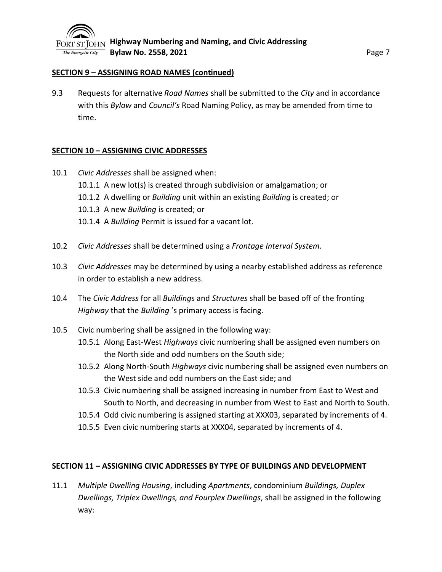## **SECTION 9 – ASSIGNING ROAD NAMES (continued)**

9.3 Requests for alternative *Road Names* shall be submitted to the *City* and in accordance with this *Bylaw* and *Council's* Road Naming Policy, as may be amended from time to time.

## **SECTION 10 – ASSIGNING CIVIC ADDRESSES**

- 10.1 *Civic Addresses* shall be assigned when:
	- 10.1.1 A new lot(s) is created through subdivision or amalgamation; or
	- 10.1.2 A dwelling or *Building* unit within an existing *Building* is created; or
	- 10.1.3 A new *Building* is created; or
	- 10.1.4 A *Building* Permit is issued for a vacant lot.
- 10.2 *Civic Addresses* shall be determined using a *Frontage Interval System*.
- 10.3 *Civic Addresses* may be determined by using a nearby established address as reference in order to establish a new address.
- 10.4 The *Civic Address* for all *Building*s and *Structures* shall be based off of the fronting *Highway* that the *Building* 's primary access is facing.
- 10.5 Civic numbering shall be assigned in the following way:
	- 10.5.1 Along East-West *Highways* civic numbering shall be assigned even numbers on the North side and odd numbers on the South side;
	- 10.5.2 Along North-South *Highways* civic numbering shall be assigned even numbers on the West side and odd numbers on the East side; and
	- 10.5.3 Civic numbering shall be assigned increasing in number from East to West and South to North, and decreasing in number from West to East and North to South.
	- 10.5.4 Odd civic numbering is assigned starting at XXX03, separated by increments of 4.
	- 10.5.5 Even civic numbering starts at XXX04, separated by increments of 4.

## **SECTION 11 – ASSIGNING CIVIC ADDRESSES BY TYPE OF BUILDINGS AND DEVELOPMENT**

11.1 *Multiple Dwelling Housing*, including *Apartments*, condominium *Buildings, Duplex Dwellings, Triplex Dwellings, and Fourplex Dwellings*, shall be assigned in the following way: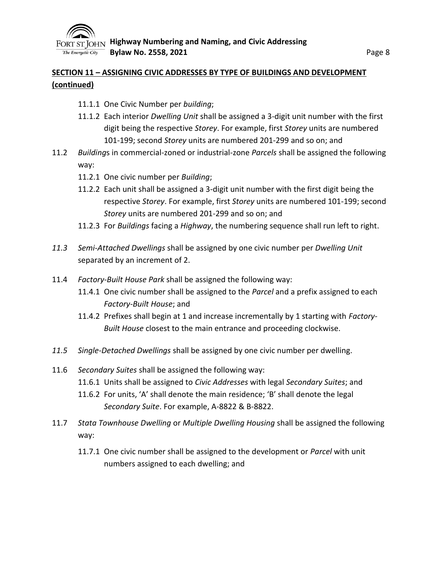

## **SECTION 11 – ASSIGNING CIVIC ADDRESSES BY TYPE OF BUILDINGS AND DEVELOPMENT (continued)**

- 11.1.1 One Civic Number per *building*;
- 11.1.2 Each interior *Dwelling Unit* shall be assigned a 3-digit unit number with the first digit being the respective *Storey*. For example, first *Storey* units are numbered 101-199; second *Storey* units are numbered 201-299 and so on; and
- 11.2 *Building*s in commercial-zoned or industrial-zone *Parcels* shall be assigned the following way:
	- 11.2.1 One civic number per *Building*;
	- 11.2.2 Each unit shall be assigned a 3-digit unit number with the first digit being the respective *Storey*. For example, first *Storey* units are numbered 101-199; second *Storey* units are numbered 201-299 and so on; and
	- 11.2.3 For *Buildings* facing a *Highway*, the numbering sequence shall run left to right.
- *11.3 Semi-Attached Dwellings* shall be assigned by one civic number per *Dwelling Unit* separated by an increment of 2.
- 11.4 *Factory-Built House Park* shall be assigned the following way:
	- 11.4.1 One civic number shall be assigned to the *Parcel* and a prefix assigned to each *Factory-Built House*; and
	- 11.4.2 Prefixes shall begin at 1 and increase incrementally by 1 starting with *Factory-Built House* closest to the main entrance and proceeding clockwise.
- *11.5 Single-Detached Dwellings* shall be assigned by one civic number per dwelling.
- 11.6 *Secondary Suites* shall be assigned the following way:
	- 11.6.1 Units shall be assigned to *Civic Addresses* with legal *Secondary Suites*; and
	- 11.6.2 For units, 'A' shall denote the main residence; 'B' shall denote the legal *Secondary Suite*. For example, A-8822 & B-8822.
- 11.7 *Stata Townhouse Dwelling* or *Multiple Dwelling Housing* shall be assigned the following way:
	- 11.7.1 One civic number shall be assigned to the development or *Parcel* with unit numbers assigned to each dwelling; and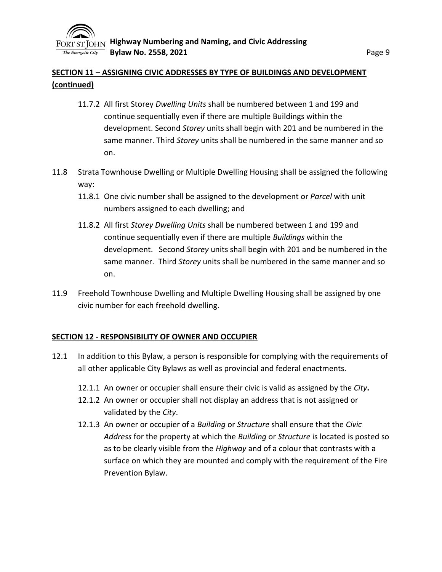

## **SECTION 11 – ASSIGNING CIVIC ADDRESSES BY TYPE OF BUILDINGS AND DEVELOPMENT (continued)**

- 11.7.2 All first Storey *Dwelling Units* shall be numbered between 1 and 199 and continue sequentially even if there are multiple Buildings within the development. Second *Storey* units shall begin with 201 and be numbered in the same manner. Third *Storey* units shall be numbered in the same manner and so on.
- 11.8 Strata Townhouse Dwelling or Multiple Dwelling Housing shall be assigned the following way:
	- 11.8.1 One civic number shall be assigned to the development or *Parcel* with unit numbers assigned to each dwelling; and
	- 11.8.2 All first *Storey Dwelling Units* shall be numbered between 1 and 199 and continue sequentially even if there are multiple *Buildings* within the development. Second *Storey* units shall begin with 201 and be numbered in the same manner. Third *Storey* units shall be numbered in the same manner and so on.
- 11.9 Freehold Townhouse Dwelling and Multiple Dwelling Housing shall be assigned by one civic number for each freehold dwelling.

#### **SECTION 12 - RESPONSIBILITY OF OWNER AND OCCUPIER**

- 12.1 In addition to this Bylaw, a person is responsible for complying with the requirements of all other applicable City Bylaws as well as provincial and federal enactments.
	- 12.1.1 An owner or occupier shall ensure their civic is valid as assigned by the *City***.**
	- 12.1.2 An owner or occupier shall not display an address that is not assigned or validated by the *City*.
	- 12.1.3 An owner or occupier of a *Building* or *Structure* shall ensure that the *Civic Address* for the property at which the *Building* or *Structure* is located is posted so as to be clearly visible from the *Highway* and of a colour that contrasts with a surface on which they are mounted and comply with the requirement of the Fire Prevention Bylaw.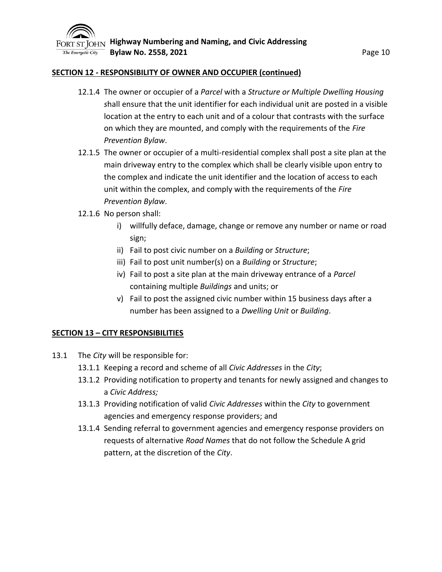

#### **SECTION 12 - RESPONSIBILITY OF OWNER AND OCCUPIER (continued)**

- 12.1.4 The owner or occupier of a *Parcel* with a *Structure or Multiple Dwelling Housing s*hall ensure that the unit identifier for each individual unit are posted in a visible location at the entry to each unit and of a colour that contrasts with the surface on which they are mounted, and comply with the requirements of the *Fire Prevention Bylaw*.
- 12.1.5 The owner or occupier of a multi-residential complex shall post a site plan at the main driveway entry to the complex which shall be clearly visible upon entry to the complex and indicate the unit identifier and the location of access to each unit within the complex, and comply with the requirements of the *Fire Prevention Bylaw*.
- 12.1.6 No person shall:
	- i) willfully deface, damage, change or remove any number or name or road sign;
	- ii) Fail to post civic number on a *Building* or *Structure*;
	- iii) Fail to post unit number(s) on a *Building* or *Structure*;
	- iv) Fail to post a site plan at the main driveway entrance of a *Parcel* containing multiple *Buildings* and units; or
	- v) Fail to post the assigned civic number within 15 business days after a number has been assigned to a *Dwelling Unit* or *Building*.

#### **SECTION 13 – CITY RESPONSIBILITIES**

- 13.1 The *City* will be responsible for:
	- 13.1.1 Keeping a record and scheme of all *Civic Addresses* in the *City*;
	- 13.1.2 Providing notification to property and tenants for newly assigned and changes to a *Civic Address;*
	- 13.1.3 Providing notification of valid *Civic Addresses* within the *City* to government agencies and emergency response providers; and
	- 13.1.4 Sending referral to government agencies and emergency response providers on requests of alternative *Road Names* that do not follow the Schedule A grid pattern, at the discretion of the *City*.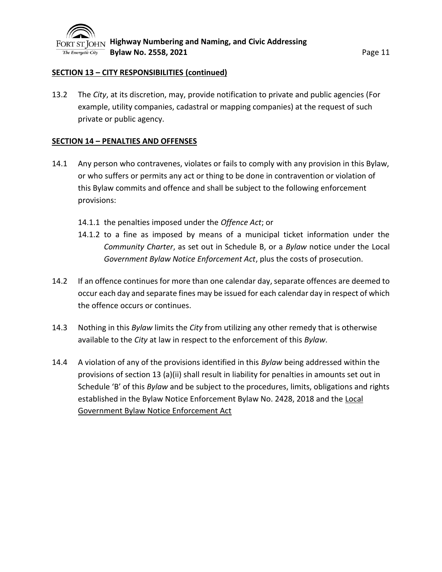## **SECTION 13 – CITY RESPONSIBILITIES (continued)**

13.2 The *City*, at its discretion, may, provide notification to private and public agencies (For example, utility companies, cadastral or mapping companies) at the request of such private or public agency.

## **SECTION 14 – PENALTIES AND OFFENSES**

- 14.1 Any person who contravenes, violates or fails to comply with any provision in this Bylaw, or who suffers or permits any act or thing to be done in contravention or violation of this Bylaw commits and offence and shall be subject to the following enforcement provisions:
	- 14.1.1 the penalties imposed under the *Offence Act*; or
	- 14.1.2 to a fine as imposed by means of a municipal ticket information under the *Community Charter*, as set out in Schedule B, or a *Bylaw* notice under the Local *Government Bylaw Notice Enforcement Act*, plus the costs of prosecution.
- 14.2 If an offence continues for more than one calendar day, separate offences are deemed to occur each day and separate fines may be issued for each calendar day in respect of which the offence occurs or continues.
- 14.3 Nothing in this *Bylaw* limits the *City* from utilizing any other remedy that is otherwise available to the *City* at law in respect to the enforcement of this *Bylaw*.
- 14.4 A violation of any of the provisions identified in this *Bylaw* being addressed within the provisions of section 13 (a)(ii) shall result in liability for penalties in amounts set out in Schedule 'B' of this *Bylaw* and be subject to the procedures, limits, obligations and rights established in the Bylaw Notice Enforcement Bylaw No. 2428, 2018 and the Local Government Bylaw Notice Enforcement Act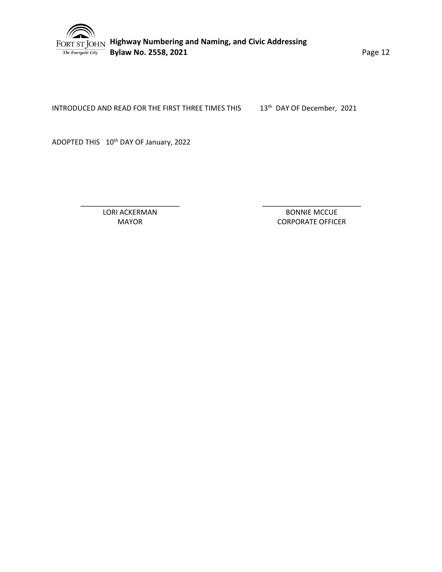

 **Highway Numbering and Naming, and Civic Addressing Bylaw No. 2558, 2021 Page 12** 

INTRODUCED AND READ FOR THE FIRST THREE TIMES THIS 13<sup>th</sup> DAY OF December, 2021

ADOPTED THIS 10<sup>th</sup> DAY OF January, 2022

LORI ACKERMAN MAYOR

\_\_\_\_\_\_\_\_\_\_\_\_\_\_\_\_\_\_\_\_\_\_\_\_\_

\_\_\_\_\_\_\_\_\_\_\_\_\_\_\_\_\_\_\_\_\_\_\_\_\_ BONNIE MCCUE CORPORATE OFFICER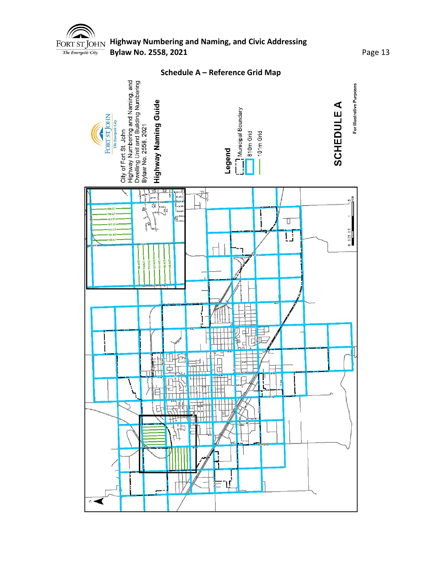

# **Highway Numbering and Naming, and Civic Addressing Bylaw No. 2558, 2021 Page 13**

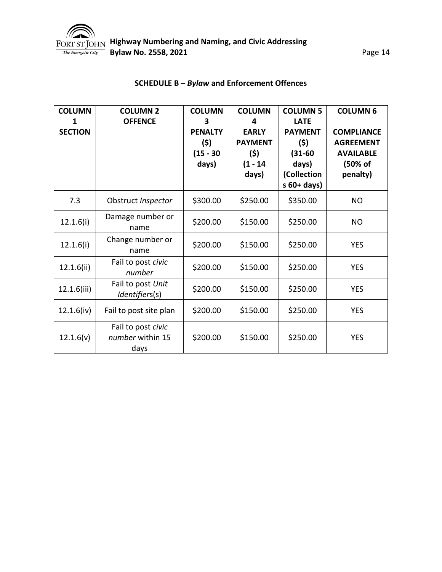

| <b>COLUMN</b><br><b>SECTION</b> | <b>COLUMN 2</b><br><b>OFFENCE</b>              | <b>COLUMN</b><br>3<br><b>PENALTY</b><br>(5)<br>$(15 - 30)$ | <b>COLUMN</b><br>4<br><b>EARLY</b><br><b>PAYMENT</b><br>(5) | <b>COLUMN 5</b><br><b>LATE</b><br><b>PAYMENT</b><br>(5)<br>$(31 - 60)$ | <b>COLUMN 6</b><br><b>COMPLIANCE</b><br><b>AGREEMENT</b><br><b>AVAILABLE</b> |
|---------------------------------|------------------------------------------------|------------------------------------------------------------|-------------------------------------------------------------|------------------------------------------------------------------------|------------------------------------------------------------------------------|
|                                 |                                                | days)                                                      | $(1 - 14)$<br>days)                                         | days)<br>(Collection<br>$s$ 60+ days)                                  | (50% of<br>penalty)                                                          |
| 7.3                             | Obstruct Inspector                             | \$300.00                                                   | \$250.00                                                    | \$350.00                                                               | <b>NO</b>                                                                    |
| 12.1.6(i)                       | Damage number or<br>name                       | \$200.00                                                   | \$150.00                                                    | \$250.00                                                               | <b>NO</b>                                                                    |
| 12.1.6(i)                       | Change number or<br>name                       | \$200.00                                                   | \$150.00                                                    | \$250.00                                                               | <b>YES</b>                                                                   |
| 12.1.6(ii)                      | Fail to post civic<br>number                   | \$200.00                                                   | \$150.00                                                    | \$250.00                                                               | <b>YES</b>                                                                   |
| 12.1.6(iii)                     | Fail to post Unit<br>Identifiers(s)            | \$200.00                                                   | \$150.00                                                    | \$250.00                                                               | <b>YES</b>                                                                   |
| 12.1.6(iv)                      | Fail to post site plan                         | \$200.00                                                   | \$150.00                                                    | \$250.00                                                               | <b>YES</b>                                                                   |
| 12.1.6(v)                       | Fail to post civic<br>number within 15<br>days | \$200.00                                                   | \$150.00                                                    | \$250.00                                                               | <b>YES</b>                                                                   |

## **SCHEDULE B –** *Bylaw* **and Enforcement Offences**